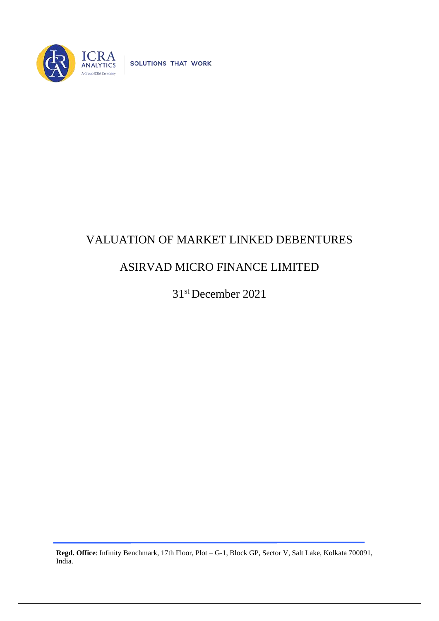

SOLUTIONS THAT WORK

## VALUATION OF MARKET LINKED DEBENTURES

## ASIRVAD MICRO FINANCE LIMITED

31st December 2021

**Regd. Office**: Infinity Benchmark, 17th Floor, Plot – G-1, Block GP, Sector V, Salt Lake, Kolkata 700091, India.